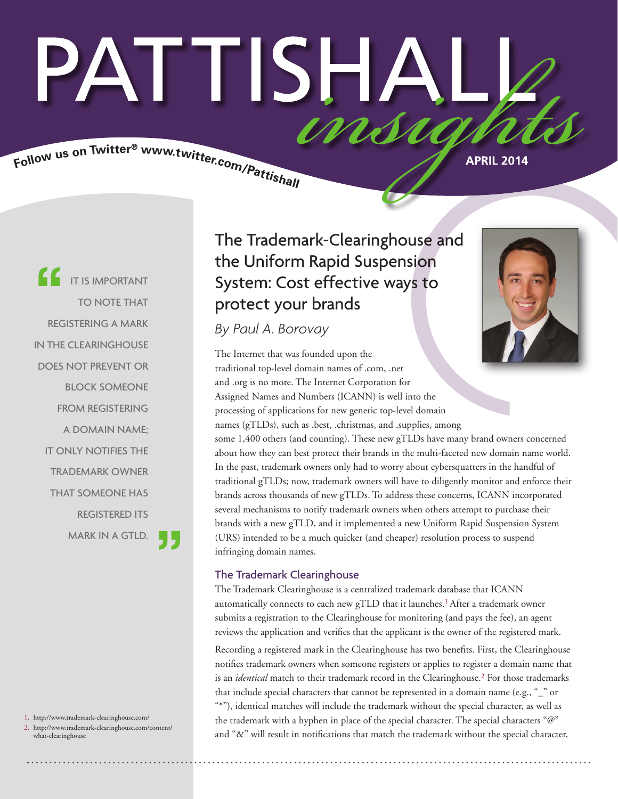# PATTISHAI Follow us on Twitter® www.twitter.com/Pattishall

**APRIL 2014**

IT IS IMPORTANT TO NOTE THAT REGISTERING A MARK IN THE CLEARINGHOUSE DOES NOT PREVENT OR BLOCK SOMEONE FROM REGISTERING A DOMAIN NAME; IT ONLY NOTIFIES THE TRADEMARK OWNER THAT SOMEONE HAS REGISTERED ITS MARK IN A GTLD.

1. http://www.trademark-clearinghouse.com/

2. http://www.trademark-clearinghouse.com/content/ what-clearinghouse

# The Trademark-Clearinghouse and the Uniform Rapid Suspension System: Cost effective ways to protect your brands

*By Paul A. Borovay*

The Internet that was founded upon the traditional top-level domain names of .com, .net and .org is no more. The Internet Corporation for Assigned Names and Numbers (ICANN) is well into the processing of applications for new generic top-level domain names (gTLDs), such as .best, .christmas, and .supplies, among some 1,400 others (and counting). These new gTLDs have many brand owners concerned about how they can best protect their brands in the multi-faceted new domain name world. In the past, trademark owners only had to worry about cybersquatters in the handful of traditional gTLDs; now, trademark owners will have to diligently monitor and enforce their brands across thousands of new gTLDs. To address these concerns, ICANN incorporated several mechanisms to notify trademark owners when others attempt to purchase their brands with a new gTLD, and it implemented a new Uniform Rapid Suspension System (URS) intended to be a much quicker (and cheaper) resolution process to suspend infringing domain names.

# The Trademark Clearinghouse

The Trademark Clearinghouse is a centralized trademark database that ICANN automatically connects to each new gTLD that it launches.<sup>1</sup> After a trademark owner submits a registration to the Clearinghouse for monitoring (and pays the fee), an agent reviews the application and verifies that the applicant is the owner of the registered mark.

Recording a registered mark in the Clearinghouse has two benefits. First, the Clearinghouse notifies trademark owners when someone registers or applies to register a domain name that is an *identical* match to their trademark record in the Clearinghouse.2 For those trademarks that include special characters that cannot be represented in a domain name (e.g., "\_" or "\*"), identical matches will include the trademark without the special character, as well as the trademark with a hyphen in place of the special character. The special characters "@" and "&" will result in notifications that match the trademark without the special character,

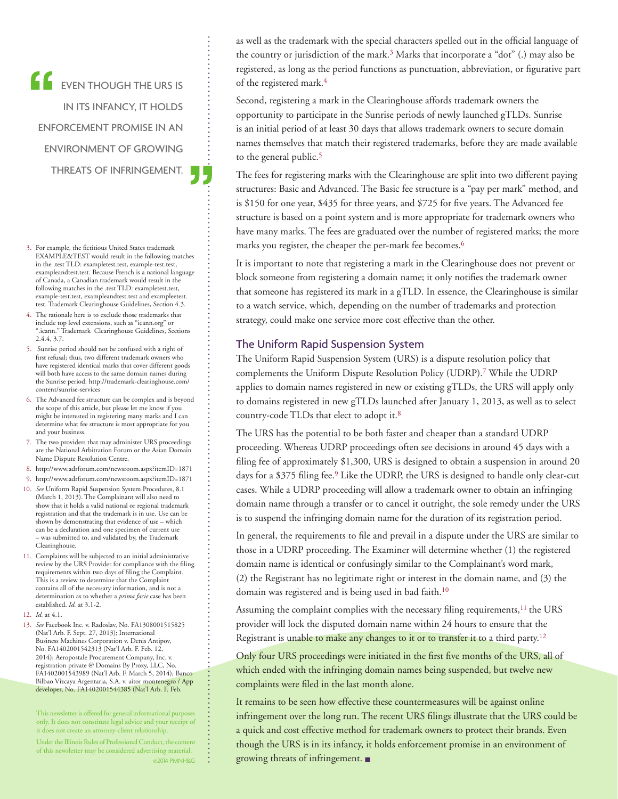EVEN THOUGH THE URS IS IN ITS INFANCY, IT HOLDS ENFORCEMENT PROMISE IN AN ENVIRONMENT OF GROWING THREATS OF INFRINGEMENT.

- 3. For example, the fictitious United States trademark EXAMPLE&TEST would result in the following matches in the .test TLD: exampletest.test, example-test.test, exampleandtest.test. Because French is a national language of Canada, a Canadian trademark would result in the following matches in the .test TLD: exampletest.test, example-test.test, exampleandtest.test and exampleetest. test. Trademark Clearinghouse Guidelines, Section 4.3.
- 4. The rationale here is to exclude those trademarks that include top level extensions, such as "icann.org" or ".icann." Trademark Clearinghouse Guidelines, Sections 2.4.4, 3.7.
- 5. Sunrise period should not be confused with a right of first refusal; thus, two different trademark owners who have registered identical marks that cover different goods will both have access to the same domain names during the Sunrise period. http://trademark-clearinghouse.com/ content/sunrise-services
- 6. The Advanced fee structure can be complex and is beyond the scope of this article, but please let me know if you might be interested in registering many marks and I can determine what fee structure is most appropriate for you and your business.
- 7. The two providers that may administer URS proceedings are the National Arbitration Forum or the Asian Domain Name Dispute Resolution Centre.
- 8. http://www.adrforum.com/newsroom.aspx?itemID=1871
- 9. http://www.adrforum.com/newsroom.aspx?itemID=1871
- 10. *See* Uniform Rapid Suspension System Procedures, 8.1 (March 1, 2013). The Complainant will also need to show that it holds a valid national or regional trademark registration and that the trademark is in use. Use can be shown by demonstrating that evidence of use – which can be a declaration and one specimen of current use was submitted to, and validated by, the Trademark Clearinghouse.
- 11. Complaints will be subjected to an initial administrative review by the URS Provider for compliance with the filing requirements within two days of filing the Complaint. This is a review to determine that the Complaint contains all of the necessary information, and is not a determination as to whether a *prima facie* case has been established. *Id.* at 3.1-2.
- 12. *Id.* at 4.1.
- 13. *See* Facebook Inc. v. Radoslav, No. FA1308001515825 (Nat'l Arb. F. Sept. 27, 2013); International Business Machines Corporation v. Denis Antipov, No. FA1402001542313 (Nat'l Arb. F. Feb. 12, 2014); Aeropostale Procurement Company, Inc. v. registration private @ Domains By Proxy, LLC, No. FA1402001543989 (Nat'l Arb. F. March 5, 2014); Banco Bilbao Vizcaya Argentaria, S.A. v. aitor montenegro / App developer, No. FA1402001544385 (Nat'l Arb. F. Feb.

This newsletter is offered for general informational purposes only. It does not constitute legal advice and your receipt of it does not create an attorney-client relationship.

Under the Illinois Rules of Professional Conduct, the content of this newsletter may be considered advertising material. ©2014 PMNH&G as well as the trademark with the special characters spelled out in the official language of the country or jurisdiction of the mark.<sup>3</sup> Marks that incorporate a "dot" (.) may also be registered, as long as the period functions as punctuation, abbreviation, or figurative part of the registered mark.<sup>4</sup>

Second, registering a mark in the Clearinghouse affords trademark owners the opportunity to participate in the Sunrise periods of newly launched gTLDs. Sunrise is an initial period of at least 30 days that allows trademark owners to secure domain names themselves that match their registered trademarks, before they are made available to the general public.<sup>5</sup>

The fees for registering marks with the Clearinghouse are split into two different paying structures: Basic and Advanced. The Basic fee structure is a "pay per mark" method, and is \$150 for one year, \$435 for three years, and \$725 for five years. The Advanced fee structure is based on a point system and is more appropriate for trademark owners who have many marks. The fees are graduated over the number of registered marks; the more marks you register, the cheaper the per-mark fee becomes.6

It is important to note that registering a mark in the Clearinghouse does not prevent or block someone from registering a domain name; it only notifies the trademark owner that someone has registered its mark in a gTLD. In essence, the Clearinghouse is similar to a watch service, which, depending on the number of trademarks and protection strategy, could make one service more cost effective than the other.

#### The Uniform Rapid Suspension System

The Uniform Rapid Suspension System (URS) is a dispute resolution policy that complements the Uniform Dispute Resolution Policy (UDRP).7 While the UDRP applies to domain names registered in new or existing gTLDs, the URS will apply only to domains registered in new gTLDs launched after January 1, 2013, as well as to select country-code TLDs that elect to adopt it.8

The URS has the potential to be both faster and cheaper than a standard UDRP proceeding. Whereas UDRP proceedings often see decisions in around 45 days with a filing fee of approximately \$1,300, URS is designed to obtain a suspension in around 20 days for a \$375 filing fee.<sup>9</sup> Like the UDRP, the URS is designed to handle only clear-cut cases. While a UDRP proceeding will allow a trademark owner to obtain an infringing domain name through a transfer or to cancel it outright, the sole remedy under the URS is to suspend the infringing domain name for the duration of its registration period.

In general, the requirements to file and prevail in a dispute under the URS are similar to those in a UDRP proceeding. The Examiner will determine whether (1) the registered domain name is identical or confusingly similar to the Complainant's word mark, (2) the Registrant has no legitimate right or interest in the domain name, and (3) the domain was registered and is being used in bad faith.<sup>10</sup>

Assuming the complaint complies with the necessary filing requirements, $11$  the URS provider will lock the disputed domain name within 24 hours to ensure that the Registrant is unable to make any changes to it or to transfer it to a third party.<sup>12</sup>

Only four URS proceedings were initiated in the first five months of the URS, all of which ended with the infringing domain names being suspended, but twelve new complaints were filed in the last month alone.

It remains to be seen how effective these countermeasures will be against online infringement over the long run. The recent URS filings illustrate that the URS could be a quick and cost effective method for trademark owners to protect their brands. Even though the URS is in its infancy, it holds enforcement promise in an environment of growing threats of infringement. ■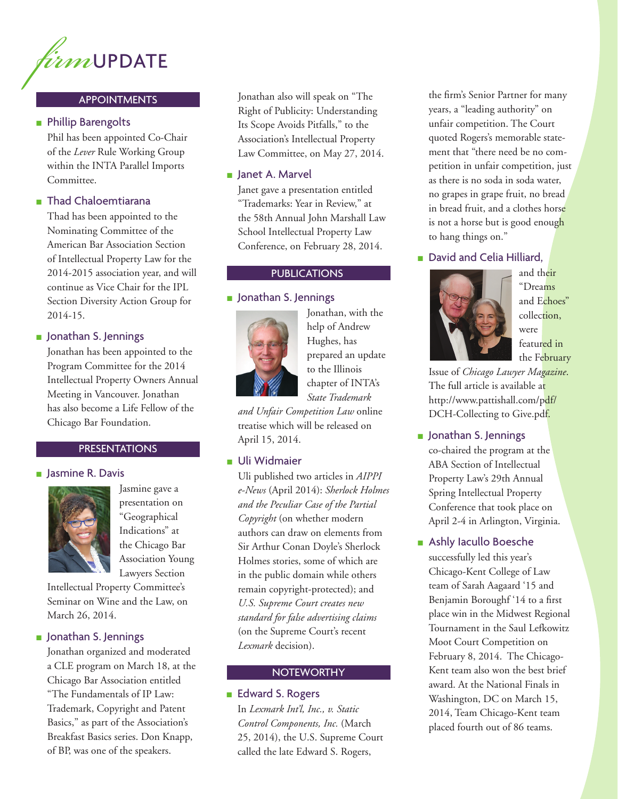

#### APPOINTMENTS

#### ■ Phillip Barengolts

Phil has been appointed Co-Chair of the *Lever* Rule Working Group within the INTA Parallel Imports Committee.

# ■ Thad Chaloemtiarana

Thad has been appointed to the Nominating Committee of the American Bar Association Section of Intellectual Property Law for the 2014-2015 association year, and will continue as Vice Chair for the IPL Section Diversity Action Group for 2014-15.

#### ■ Jonathan S. Jennings

Jonathan has been appointed to the Program Committee for the 2014 Intellectual Property Owners Annual Meeting in Vancouver. Jonathan has also become a Life Fellow of the Chicago Bar Foundation.

#### PRESENTATIONS

#### ■ Jasmine R. Davis



Jasmine gave a presentation on "Geographical Indications" at the Chicago Bar Association Young Lawyers Section

Intellectual Property Committee's Seminar on Wine and the Law, on March 26, 2014.

#### ■ Jonathan S. Jennings

Jonathan organized and moderated a CLE program on March 18, at the Chicago Bar Association entitled "The Fundamentals of IP Law: Trademark, Copyright and Patent Basics," as part of the Association's Breakfast Basics series. Don Knapp, of BP, was one of the speakers.

Jonathan also will speak on "The Right of Publicity: Understanding Its Scope Avoids Pitfalls," to the Association's Intellectual Property Law Committee, on May 27, 2014.

#### ■ Janet A. Marvel

Janet gave a presentation entitled "Trademarks: Year in Review," at the 58th Annual John Marshall Law School Intellectual Property Law Conference, on February 28, 2014.

#### **PUBLICATIONS**

#### ■ Jonathan S. Jennings



Jonathan, with the help of Andrew Hughes, has prepared an update to the Illinois chapter of INTA's *State Trademark* 

*and Unfair Competition Law* online treatise which will be released on April 15, 2014.

#### ■ Uli Widmaier

Uli published two articles in *AIPPI e-News* (April 2014): *Sherlock Holmes and the Peculiar Case of the Partial Copyright* (on whether modern authors can draw on elements from Sir Arthur Conan Doyle's Sherlock Holmes stories, some of which are in the public domain while others remain copyright-protected); and *U.S. Supreme Court creates new standard for false advertising claims* (on the Supreme Court's recent *Lexmark* decision).

#### **NOTEWORTHY**

#### ■ Edward S. Rogers

In *Lexmark Int'l, Inc., v. Static Control Components, Inc.* (March 25, 2014), the U.S. Supreme Court called the late Edward S. Rogers,

the firm's Senior Partner for many years, a "leading authority" on unfair competition. The Court quoted Rogers's memorable statement that "there need be no competition in unfair competition, just as there is no soda in soda water, no grapes in grape fruit, no bread in bread fruit, and a clothes horse is not a horse but is good enough to hang things on."

### ■ David and Celia Hilliard,



and their "Dreams and Echoes" collection, were featured in the February

Issue of *Chicago Lawyer Magazine*. The full article is available at http://www.pattishall.com/pdf/ DCH-Collecting to Give.pdf.

#### ■ Jonathan S. Jennings

co-chaired the program at the ABA Section of Intellectual Property Law's 29th Annual Spring Intellectual Property Conference that took place on April 2-4 in Arlington, Virginia.

#### ■ Ashly Iacullo Boesche

successfully led this year's Chicago-Kent College of Law team of Sarah Aagaard '15 and Benjamin Boroughf '14 to a first place win in the Midwest Regional Tournament in the Saul Lefkowitz Moot Court Competition on February 8, 2014. The Chicago-Kent team also won the best brief award. At the National Finals in Washington, DC on March 15, 2014, Team Chicago-Kent team placed fourth out of 86 teams.